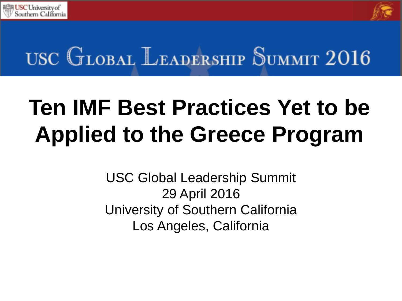



## USC GLOBAL LEADERSHIP SUMMIT 2016

## **Ten IMF Best Practices Yet to be Applied to the Greece Program**

USC Global Leadership Summit 29 April 2016 University of Southern California Los Angeles, California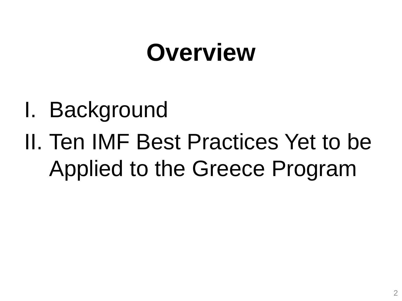# **Overview**

I. Background II. Ten IMF Best Practices Yet to be Applied to the Greece Program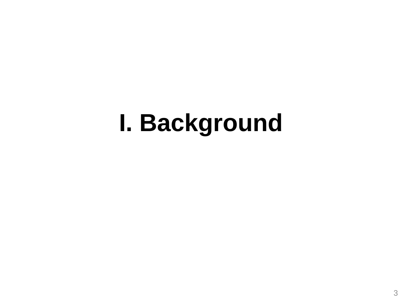# **I. Background**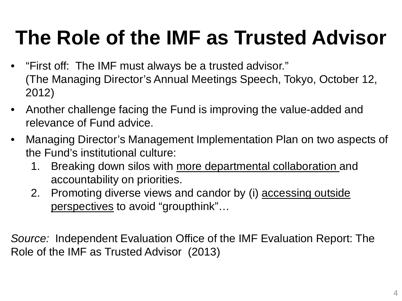## **The Role of the IMF as Trusted Advisor**

- "First off: The IMF must always be a trusted advisor." (The Managing Director's Annual Meetings Speech, Tokyo, October 12, 2012)
- Another challenge facing the Fund is improving the value-added and relevance of Fund advice.
- Managing Director's Management Implementation Plan on two aspects of the Fund's institutional culture:
	- 1. Breaking down silos with more departmental collaboration and accountability on priorities.
	- 2. Promoting diverse views and candor by (i) accessing outside perspectives to avoid "groupthink"…

*Source:* Independent Evaluation Office of the IMF Evaluation Report: The Role of the IMF as Trusted Advisor (2013)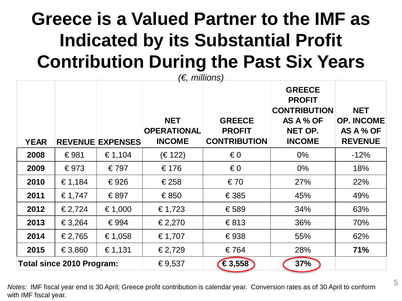### **Greece is a Valued Partner to the IMF as Indicated by its Substantial Profit Contribution During the Past Six Years**

| $(\epsilon$ , millions)          |         |                         |                                                   |                                                       |                                                                                                |                                                                |
|----------------------------------|---------|-------------------------|---------------------------------------------------|-------------------------------------------------------|------------------------------------------------------------------------------------------------|----------------------------------------------------------------|
| <b>YEAR</b>                      |         | <b>REVENUE EXPENSES</b> | <b>NET</b><br><b>OPERATIONAL</b><br><b>INCOME</b> | <b>GREECE</b><br><b>PROFIT</b><br><b>CONTRIBUTION</b> | <b>GREECE</b><br><b>PROFIT</b><br><b>CONTRIBUTION</b><br>AS A % OF<br>NET OP.<br><b>INCOME</b> | <b>NET</b><br><b>OP. INCOME</b><br>AS A % OF<br><b>REVENUE</b> |
| 2008                             | €981    | € 1,104                 | (€122)                                            | $\epsilon$ 0                                          | $0\%$                                                                                          | $-12%$                                                         |
| 2009                             | €973    | €797                    | €176                                              | $\epsilon$ 0                                          | $0\%$                                                                                          | 18%                                                            |
| 2010                             | € 1,184 | €926                    | €258                                              | €70                                                   | 27%                                                                                            | 22%                                                            |
| 2011                             | € 1,747 | €897                    | € 850                                             | €385                                                  | 45%                                                                                            | 49%                                                            |
| 2012                             | € 2,724 | € 1,000                 | €1,723                                            | €589                                                  | 34%                                                                                            | 63%                                                            |
| 2013                             | € 3,264 | €994                    | € 2,270                                           | €813                                                  | 36%                                                                                            | 70%                                                            |
| 2014                             | € 2,765 | € 1,058                 | € 1,707                                           | €938                                                  | 55%                                                                                            | 62%                                                            |
| 2015                             | € 3,860 | € 1,131                 | € 2,729                                           | €764                                                  | 28%                                                                                            | 71%                                                            |
| <b>Total since 2010 Program:</b> |         |                         | €9,537                                            | €3,558                                                | 37%                                                                                            |                                                                |

<sup>5</sup> *Notes:* IMF fiscal year end is 30 April; Greece profit contribution is calendar year. Conversion rates as of 30 April to conform with IMF fiscal year.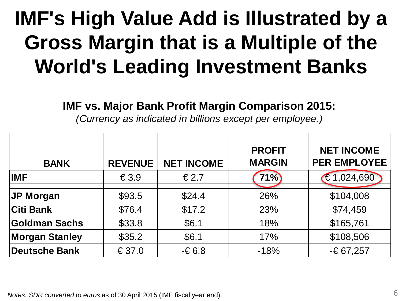## **IMF's High Value Add is Illustrated by a Gross Margin that is a Multiple of the World's Leading Investment Banks**

#### **IMF vs. Major Bank Profit Margin Comparison 2015:**

*(Currency as indicated in billions except per employee.)*

| <b>BANK</b>           | <b>REVENUE</b> | <b>NET INCOME</b> | <b>PROFIT</b><br><b>MARGIN</b> | <b>NET INCOME</b><br><b>PER EMPLOYEE</b> |
|-----------------------|----------------|-------------------|--------------------------------|------------------------------------------|
| <b>IMF</b>            | $\epsilon$ 3.9 | €2.7              | 71%                            | € 1,024,690                              |
| <b>JP Morgan</b>      | \$93.5         | \$24.4            | 26%                            | \$104,008                                |
| <b>Citi Bank</b>      | \$76.4         | \$17.2            | 23%                            | \$74,459                                 |
| Goldman Sachs         | \$33.8         | \$6.1             | 18%                            | \$165,761                                |
| <b>Morgan Stanley</b> | \$35.2         | \$6.1             | 17%                            | \$108,506                                |
| Deutsche Bank         | €37.0          | $-6.8$            | $-18%$                         | $-667,257$                               |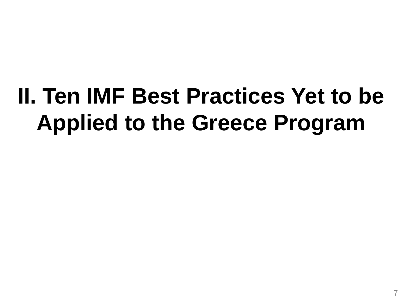# **II. Ten IMF Best Practices Yet to be Applied to the Greece Program**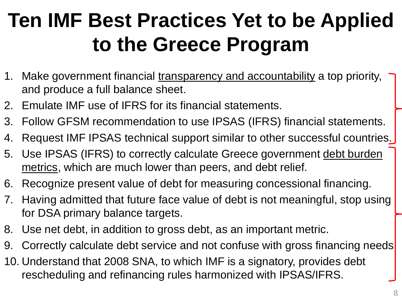## **Ten IMF Best Practices Yet to be Applied to the Greece Program**

- 1. Make government financial transparency and accountability a top priority, and produce a full balance sheet.
- 2. Emulate IMF use of IFRS for its financial statements.
- 3. Follow GFSM recommendation to use IPSAS (IFRS) financial statements.
- 4. Request IMF IPSAS technical support similar to other successful countries.
- 5. Use IPSAS (IFRS) to correctly calculate Greece government debt burden metrics, which are much lower than peers, and debt relief.
- 6. Recognize present value of debt for measuring concessional financing.
- 7. Having admitted that future face value of debt is not meaningful, stop using for DSA primary balance targets.
- 8. Use net debt, in addition to gross debt, as an important metric.
- 9. Correctly calculate debt service and not confuse with gross financing needs
- 10. Understand that 2008 SNA, to which IMF is a signatory, provides debt rescheduling and refinancing rules harmonized with IPSAS/IFRS.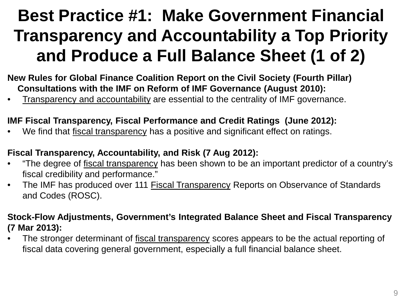### **Best Practice #1: Make Government Financial Transparency and Accountability a Top Priority and Produce a Full Balance Sheet (1 of 2)**

- **New Rules for Global Finance Coalition Report on the Civil Society (Fourth Pillar) Consultations with the IMF on Reform of IMF Governance (August 2010):**
- Transparency and accountability are essential to the centrality of IMF governance.

#### **IMF Fiscal Transparency, Fiscal Performance and Credit Ratings (June 2012):**

We find that fiscal transparency has a positive and significant effect on ratings.

#### **Fiscal Transparency, Accountability, and Risk (7 Aug 2012):**

- "The degree of fiscal transparency has been shown to be an important predictor of a country's fiscal credibility and performance."
- The IMF has produced over 111 Fiscal Transparency Reports on Observance of Standards and Codes (ROSC).

#### **Stock-Flow Adjustments, Government's Integrated Balance Sheet and Fiscal Transparency (7 Mar 2013):**

The stronger determinant of fiscal transparency scores appears to be the actual reporting of fiscal data covering general government, especially a full financial balance sheet.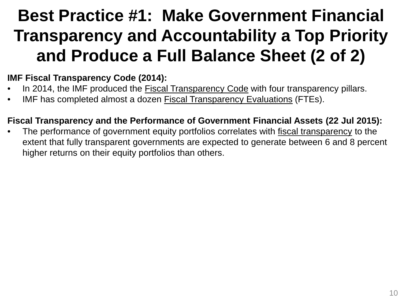### **Best Practice #1: Make Government Financial Transparency and Accountability a Top Priority and Produce a Full Balance Sheet (2 of 2)**

#### **IMF Fiscal Transparency Code (2014):**

- In 2014, the IMF produced the Fiscal Transparency Code with four transparency pillars.
- IMF has completed almost a dozen Fiscal Transparency Evaluations (FTEs).

#### **Fiscal Transparency and the Performance of Government Financial Assets (22 Jul 2015):**

The performance of government equity portfolios correlates with fiscal transparency to the extent that fully transparent governments are expected to generate between 6 and 8 percent higher returns on their equity portfolios than others.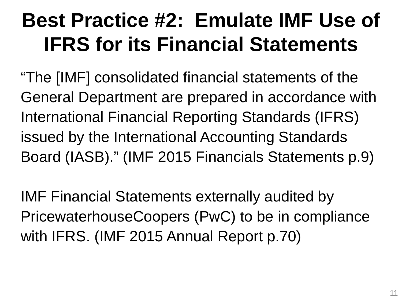## **Best Practice #2: Emulate IMF Use of IFRS for its Financial Statements**

"The [IMF] consolidated financial statements of the General Department are prepared in accordance with International Financial Reporting Standards (IFRS) issued by the International Accounting Standards Board (IASB)." (IMF 2015 Financials Statements p.9)

IMF Financial Statements externally audited by PricewaterhouseCoopers (PwC) to be in compliance with IFRS. (IMF 2015 Annual Report p.70)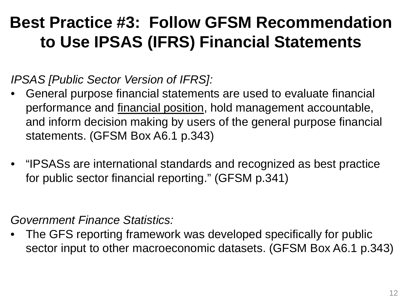### **Best Practice #3: Follow GFSM Recommendation to Use IPSAS (IFRS) Financial Statements**

*IPSAS [Public Sector Version of IFRS]:*

- General purpose financial statements are used to evaluate financial performance and financial position, hold management accountable, and inform decision making by users of the general purpose financial statements. (GFSM Box A6.1 p.343)
- "IPSASs are international standards and recognized as best practice for public sector financial reporting." (GFSM p.341)

*Government Finance Statistics:* 

The GFS reporting framework was developed specifically for public sector input to other macroeconomic datasets. (GFSM Box A6.1 p.343)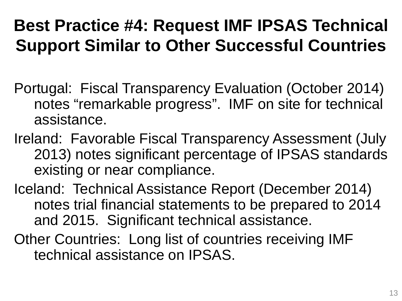### **Best Practice #4: Request IMF IPSAS Technical Support Similar to Other Successful Countries**

- Portugal: Fiscal Transparency Evaluation (October 2014) notes "remarkable progress". IMF on site for technical assistance.
- Ireland: Favorable Fiscal Transparency Assessment (July 2013) notes significant percentage of IPSAS standards existing or near compliance.
- Iceland: Technical Assistance Report (December 2014) notes trial financial statements to be prepared to 2014 and 2015. Significant technical assistance.
- Other Countries: Long list of countries receiving IMF technical assistance on IPSAS.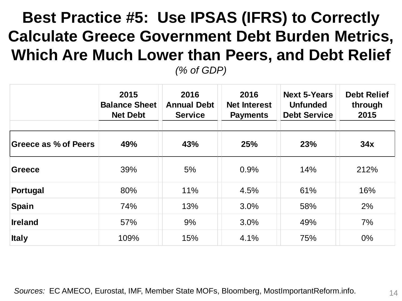#### **Best Practice #5: Use IPSAS (IFRS) to Correctly Calculate Greece Government Debt Burden Metrics, Which Are Much Lower than Peers, and Debt Relief** *(% of GDP)*

|                      | 2015<br><b>Balance Sheet</b><br><b>Net Debt</b> | 2016<br><b>Annual Debt</b><br><b>Service</b> | 2016<br><b>Net Interest</b><br><b>Payments</b> | <b>Next 5-Years</b><br><b>Unfunded</b><br><b>Debt Service</b> | <b>Debt Relief</b><br>through<br>2015 |
|----------------------|-------------------------------------------------|----------------------------------------------|------------------------------------------------|---------------------------------------------------------------|---------------------------------------|
|                      |                                                 |                                              |                                                |                                                               |                                       |
| Greece as % of Peers | 49%                                             | 43%                                          | 25%                                            | 23%                                                           | 34x                                   |
| <b>Greece</b>        | 39%                                             | 5%                                           | 0.9%                                           | 14%                                                           | 212%                                  |
| Portugal             | 80%                                             | 11%                                          | 4.5%                                           | 61%                                                           | 16%                                   |
| <b>Spain</b>         | 74%                                             | 13%                                          | 3.0%                                           | 58%                                                           | 2%                                    |
| <b>Ireland</b>       | 57%                                             | 9%                                           | 3.0%                                           | 49%                                                           | 7%                                    |
| <b>Italy</b>         | 109%                                            | 15%                                          | 4.1%                                           | 75%                                                           | $0\%$                                 |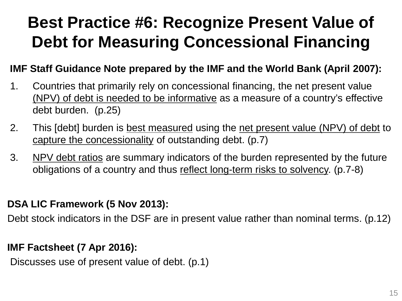### **Best Practice #6: Recognize Present Value of Debt for Measuring Concessional Financing**

#### **IMF Staff Guidance Note prepared by the IMF and the World Bank (April 2007):**

- 1. Countries that primarily rely on concessional financing, the net present value (NPV) of debt is needed to be informative as a measure of a country's effective debt burden. (p.25)
- 2. This [debt] burden is best measured using the net present value (NPV) of debt to capture the concessionality of outstanding debt. (p.7)
- 3. NPV debt ratios are summary indicators of the burden represented by the future obligations of a country and thus reflect long-term risks to solvency. (p.7-8)

#### **DSA LIC Framework (5 Nov 2013):**

Debt stock indicators in the DSF are in present value rather than nominal terms. (p.12)

#### **IMF Factsheet (7 Apr 2016):**

Discusses use of present value of debt. (p.1)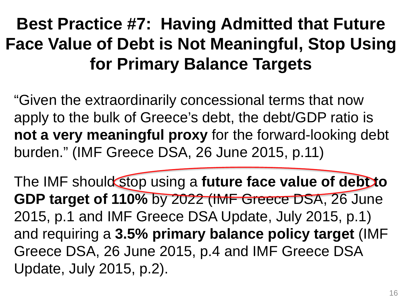### **Best Practice #7: Having Admitted that Future Face Value of Debt is Not Meaningful, Stop Using for Primary Balance Targets**

"Given the extraordinarily concessional terms that now apply to the bulk of Greece's debt, the debt/GDP ratio is **not a very meaningful proxy** for the forward-looking debt burden." (IMF Greece DSA, 26 June 2015, p.11)

The IMF should stop using a **future face value of debt to GDP target of 110%** by 2022 (IMF Greece DSA, 26 June 2015, p.1 and IMF Greece DSA Update, July 2015, p.1) and requiring a **3.5% primary balance policy target** (IMF Greece DSA, 26 June 2015, p.4 and IMF Greece DSA Update, July 2015, p.2).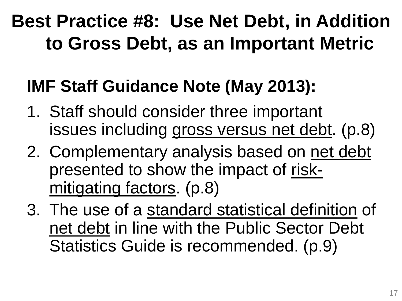## **Best Practice #8: Use Net Debt, in Addition to Gross Debt, as an Important Metric**

### **IMF Staff Guidance Note (May 2013):**

- 1. Staff should consider three important issues including gross versus net debt. (p.8)
- 2. Complementary analysis based on net debt presented to show the impact of riskmitigating factors. (p.8)
- 3. The use of a standard statistical definition of net debt in line with the Public Sector Debt Statistics Guide is recommended. (p.9)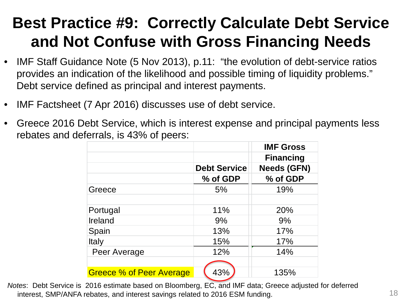#### **Best Practice #9: Correctly Calculate Debt Service and Not Confuse with Gross Financing Needs**

- IMF Staff Guidance Note (5 Nov 2013), p.11: "the evolution of debt-service ratios provides an indication of the likelihood and possible timing of liquidity problems." Debt service defined as principal and interest payments.
- IMF Factsheet (7 Apr 2016) discusses use of debt service.
- Greece 2016 Debt Service, which is interest expense and principal payments less rebates and deferrals, is 43% of peers:

|                          |                     | <b>IMF Gross</b>   |
|--------------------------|---------------------|--------------------|
|                          |                     | <b>Financing</b>   |
|                          | <b>Debt Service</b> | <b>Needs (GFN)</b> |
|                          | % of GDP            | % of GDP           |
| Greece                   | 5%                  | 19%                |
|                          |                     |                    |
| Portugal                 | 11%                 | 20%                |
| Ireland                  | 9%                  | 9%                 |
| Spain                    | 13%                 | 17%                |
| Italy                    | 15%                 | 17%                |
| Peer Average             | 12%                 | 14%                |
|                          |                     |                    |
| Greece % of Peer Average | 43%                 | 135%               |

*Notes*: Debt Service is 2016 estimate based on Bloomberg, EC, and IMF data; Greece adjusted for deferred interest, SMP/ANFA rebates, and interest savings related to 2016 ESM funding.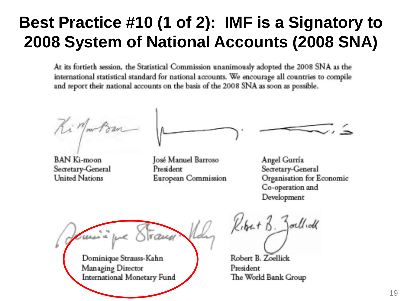#### **Best Practice #10 (1 of 2): IMF is a Signatory to 2008 System of National Accounts (2008 SNA)**

At its fortieth session, the Statistical Commission unanimously adopted the 2008 SNA as the international statistical standard for national accounts. We encourage all countries to compile and report their national accounts on the basis of the 2008 SNA as soon as possible.

**BAN Ki-moon** Secretary-General **United Nations** 

José Manuel Barroso President European Commission

Angel Gurría Secretary-General Organisation for Economic Co-operation and Development

Dominique Strauss-Kahn Managing Director **International Monetary Fund** 

Kibat B. Joellick

Robert B. Zoellick President The World Bank Group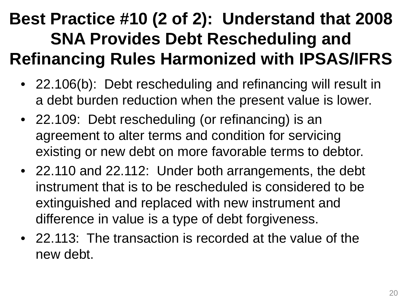### **Best Practice #10 (2 of 2): Understand that 2008 SNA Provides Debt Rescheduling and Refinancing Rules Harmonized with IPSAS/IFRS**

- 22.106(b): Debt rescheduling and refinancing will result in a debt burden reduction when the present value is lower.
- 22.109: Debt rescheduling (or refinancing) is an agreement to alter terms and condition for servicing existing or new debt on more favorable terms to debtor.
- 22.110 and 22.112: Under both arrangements, the debt instrument that is to be rescheduled is considered to be extinguished and replaced with new instrument and difference in value is a type of debt forgiveness.
- 22.113: The transaction is recorded at the value of the new debt.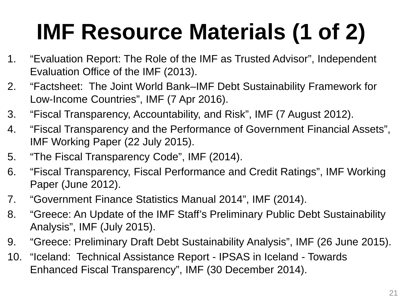# **IMF Resource Materials (1 of 2)**

- 1. "Evaluation Report: The Role of the IMF as Trusted Advisor", Independent Evaluation Office of the IMF (2013).
- 2. "Factsheet: The Joint World Bank–IMF Debt Sustainability Framework for Low-Income Countries", IMF (7 Apr 2016).
- 3. "Fiscal Transparency, Accountability, and Risk", IMF (7 August 2012).
- 4. "Fiscal Transparency and the Performance of Government Financial Assets", IMF Working Paper (22 July 2015).
- 5. "The Fiscal Transparency Code", IMF (2014).
- 6. "Fiscal Transparency, Fiscal Performance and Credit Ratings", IMF Working Paper (June 2012).
- 7. "Government Finance Statistics Manual 2014", IMF (2014).
- 8. "Greece: An Update of the IMF Staff's Preliminary Public Debt Sustainability Analysis", IMF (July 2015).
- 9. "Greece: Preliminary Draft Debt Sustainability Analysis", IMF (26 June 2015).
- 10. "Iceland: Technical Assistance Report IPSAS in Iceland Towards Enhanced Fiscal Transparency", IMF (30 December 2014).